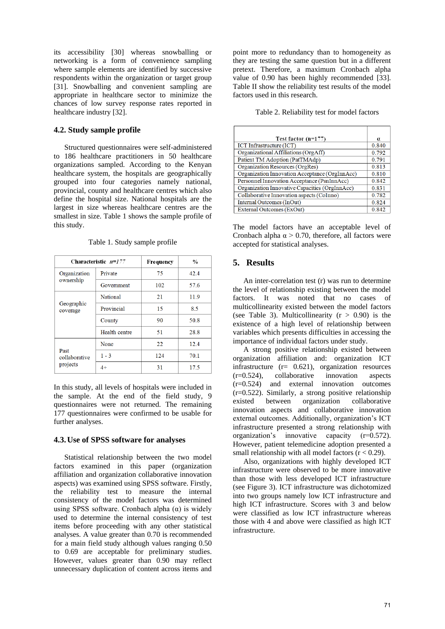its accessibility [30] whereas snowballing or networking is a form of convenience sampling where sample elements are identified by successive respondents within the organization or target group [31]. Snowballing and convenient sampling are appropriate in healthcare sector to minimize the chances of low survey response rates reported in healthcare industry [32].

## **4.2. Study sample profile**

Structured questionnaires were self-administered to 186 healthcare practitioners in 50 healthcare organizations sampled. According to the Kenyan healthcare system, the hospitals are geographically grouped into four categories namely national, provincial, county and healthcare centres which also define the hospital size. National hospitals are the largest in size whereas healthcare centres are the smallest in size. Table 1 shows the sample profile of this study.

|                                   | Characteristic $n=177$ | Frequency | $\frac{0}{0}$ |
|-----------------------------------|------------------------|-----------|---------------|
| Organization                      | Private                | 75        | 42.4          |
| ownership                         | Government             | 102       | 57.6          |
|                                   | National               | 21        | 11.9          |
| Geographic<br>coverage            | Provincial             | 15        | 8.5           |
|                                   | County                 | 90        | 50.8          |
|                                   | Health centre          | 51        | 28.8          |
|                                   | None                   | 22        | 12.4          |
| Past<br>collaborative<br>projects | $1 - 3$                | 124       | 70.1          |
|                                   | 4+                     | 31        | 17.5          |

Table 1. Study sample profile

In this study, all levels of hospitals were included in the sample. At the end of the field study, 9 questionnaires were not returned. The remaining 177 questionnaires were confirmed to be usable for further analyses.

### **4.3.Use of SPSS software for analyses**

Statistical relationship between the two model factors examined in this paper (organization affiliation and organization collaborative innovation aspects) was examined using SPSS software. Firstly, the reliability test to measure the internal consistency of the model factors was determined using SPSS software. Cronbach alpha  $(α)$  is widely used to determine the internal consistency of test items before proceeding with any other statistical analyses. A value greater than 0.70 is recommended for a main field study although values ranging 0.50 to 0.69 are acceptable for preliminary studies. However, values greater than 0.90 may reflect unnecessary duplication of content across items and point more to redundancy than to homogeneity as they are testing the same question but in a different pretext. Therefore, a maximum Cronbach alpha value of 0.90 has been highly recommended [33]. Table II show the reliability test results of the model factors used in this research.

Table 2. Reliability test for model factors

| Test factor $(n=177)$                          | α     |  |
|------------------------------------------------|-------|--|
| <b>ICT</b> Infrastructure (ICT)                | 0.840 |  |
| Organizational Affiliations (OrgAff)           | 0.792 |  |
| Patient TM Adoption (PatTMAdp)                 | 0.791 |  |
| Organization Resources (OrgRes)                |       |  |
| Organization Innovation Acceptance (OrgInnAcc) |       |  |
| Personnel Innovation Acceptance (PsnInnAcc)    |       |  |
| Organization Innovative Capacities (OrgInnAcc) | 0.831 |  |
| Collaborative Innovation aspects (CoInno)      |       |  |
| Internal Outcomes (InOut)                      | 0.824 |  |
| External Outcomes (ExOut)                      | 0.842 |  |

The model factors have an acceptable level of Cronbach alpha  $\alpha$  > 0.70, therefore, all factors were accepted for statistical analyses.

## **5. Results**

An inter-correlation test (r) was run to determine the level of relationship existing between the model factors. It was noted that no cases of multicollinearity existed between the model factors (see Table 3). Multicollinearity  $(r > 0.90)$  is the existence of a high level of relationship between variables which presents difficulties in accessing the importance of individual factors under study.

A strong positive relationship existed between organization affiliation and: organization ICT infrastructure (r= 0.621), organization resources (r=0.524), collaborative innovation aspects (r=0.524) and external innovation outcomes (r=0.522). Similarly, a strong positive relationship existed between organization collaborative innovation aspects and collaborative innovation external outcomes. Additionally, organization's ICT infrastructure presented a strong relationship with organization's innovative capacity (r=0.572). However, patient telemedicine adoption presented a small relationship with all model factors  $(r < 0.29)$ .

Also, organizations with highly developed ICT infrastructure were observed to be more innovative than those with less developed ICT infrastructure (see Figure 3). ICT infrastructure was dichotomized into two groups namely low ICT infrastructure and high ICT infrastructure. Scores with 3 and below were classified as low ICT infrastructure whereas those with 4 and above were classified as high ICT infrastructure.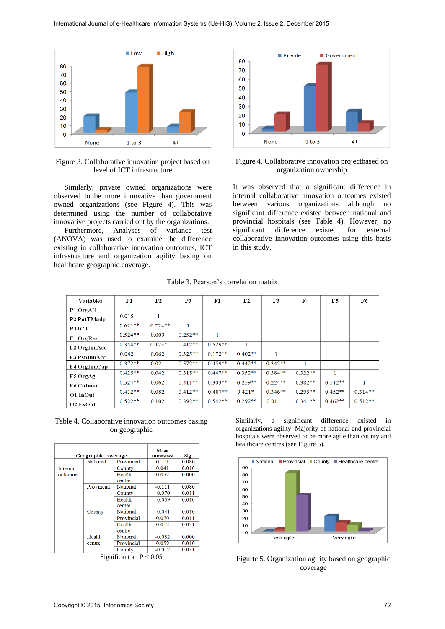

Figure 3. Collaborative innovation project based on level of ICT infrastructure

Similarly, private owned organizations were observed to be more innovative than government owned organizations (see Figure 4). This was determined using the number of collaborative innovative projects carried out by the organizations.

Furthermore, Analyses of variance test (ANOVA) was used to examine the difference existing in collaborative innovation outcomes, ICT infrastructure and organization agility basing on healthcare geographic coverage.



Figure 4. Collaborative innovation projectbased on organization ownership

It was observed that a significant difference in internal collaborative innovation outcomes existed between various organizations although no significant difference existed between national and provincial hospitals (see Table 4). However, no significant difference existed for external collaborative innovation outcomes using this basis in this study.

| Table 3. Pearson's correlation matrix |  |  |
|---------------------------------------|--|--|
|---------------------------------------|--|--|

| <b>Variables</b>    | P <sub>1</sub> | P <sub>2</sub> | P3        | F1        | F2        | F3        | F4        | F5        | F6        |
|---------------------|----------------|----------------|-----------|-----------|-----------|-----------|-----------|-----------|-----------|
| P1 OrgAff           |                |                |           |           |           |           |           |           |           |
| P2 PatTMadp         | 0.015          | 1              |           |           |           |           |           |           |           |
| P3 ICT              | $0.621**$      | $0.224**$      |           |           |           |           |           |           |           |
| <b>F1 OrgRes</b>    | $0.524**$      | 0.009          | $0.252**$ | 1         |           |           |           |           |           |
| <b>F2 OrgInnAcc</b> | $0.354**$      | $0.123*$       | $0.412**$ | $0.529**$ | 1         |           |           |           |           |
| <b>F3 PsnInnAcc</b> | 0.042          | 0.062          | $0.325**$ | $0.172**$ | $0.402**$ | 1         |           |           |           |
| F4 OrgInnCap        | $0.372**$      | 0.021          | $0.572**$ | $0.459**$ | $0.442**$ | $0.342**$ |           |           |           |
| F5 OrgAg            | $0.425**$      | 0.042          | $0.315**$ | $0.447**$ | $0.352**$ | $0.384**$ | $0.322**$ | 1         |           |
| <b>F6 CoInno</b>    | $0.524**$      | 0.062          | $0.411**$ | $0.303**$ | $0.259**$ | $0.224**$ | $0.382**$ | $0.512**$ |           |
| O1 InOut            | $0.412**$      | 0.082          | $0.412**$ | $0.487**$ | $0.421*$  | $0.346**$ | $0.295**$ | $0.452**$ | $0.314**$ |
| O2 ExOut            | $0.522**$      | 0.102          | $0.392**$ | $0.542**$ | $0.292**$ | 0.011     | $0.341**$ | $0.462**$ | $0.512**$ |

Table 4. Collaborative innovation outcomes basing on geographic

|          | Geographic coverage |            | Mean<br>Difference | Sig.  |
|----------|---------------------|------------|--------------------|-------|
|          | National            | Provincial | 0.111              | 0.080 |
| Internal |                     | County     | 0.041              | 0.010 |
| outcome  |                     | Health     | 0.052              | 0.000 |
|          |                     | centre     |                    |       |
|          | Provincial          | National   | $-0.111$           | 0.080 |
|          |                     | County     | $-0.070$           | 0.011 |
|          |                     | Health     | $-0.059$           | 0.010 |
|          |                     | centre     |                    |       |
|          | County              | National   | $-0.041$           | 0.010 |
|          |                     | Provincial | 0.070              | 0.011 |
|          |                     | Health     | 0.012              | 0.031 |
|          |                     | centre     |                    |       |
|          | Health              | National   | $-0.052$           | 0.000 |
|          | centre              | Provincial | 0.059              | 0.010 |
|          |                     | County     | $-0.012$           | 0.031 |

Significant at: P < 0.05

Similarly, a significant difference existed in organizations agility. Majority of national and provincial hospitals were observed to be more agile than county and healthcare centres (see Figure 5).



Figurte 5. Organization agility based on geographic coverage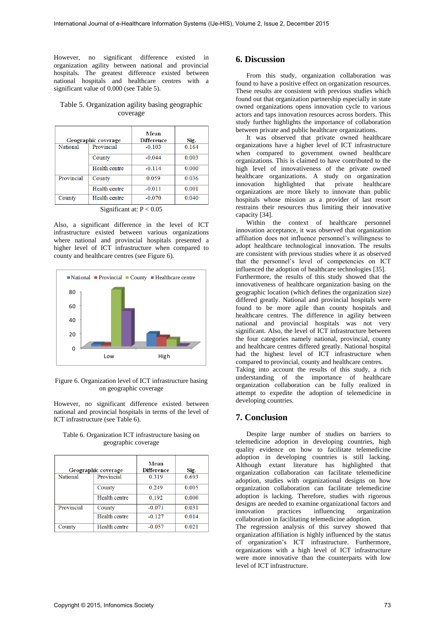However, no significant difference existed in organization agility between national and provincial hospitals. The greatest difference existed between national hospitals and healthcare centres with a significant value of 0.000 (see Table 5).

### Table 5. Organization agility basing geographic coverage

|            | Geographic coverage | Mean<br><b>Difference</b> | Sig.  |
|------------|---------------------|---------------------------|-------|
| National   | Provincial          | $-0.103$                  | 0.164 |
|            | County              | $-0.044$                  | 0.003 |
|            | Health centre       | $-0.114$                  | 0.000 |
| Provincial | County              | 0.059                     | 0.036 |
|            | Health centre       | $-0.011$                  | 0.001 |
| County     | Health centre       | $-0.070$                  | 0.040 |

Significant at:  $P < 0.05$ 

Also, a significant difference in the level of ICT infrastructure existed between various organizations where national and provincial hospitals presented a higher level of ICT infrastructure when compared to county and healthcare centres (see Figure 6).



Figure 6. Organization level of ICT infrastructure basing on geographic coverage

However, no significant difference existed between national and provincial hospitals in terms of the level of ICT infrastructure (see Table 6).

| Geographic coverage |               | Mean<br>Difference | Sig.  |
|---------------------|---------------|--------------------|-------|
| <b>National</b>     | Provincial    | 0.319              | 0.693 |
|                     | County        | 0.249              | 0.005 |
|                     | Health centre | 0.192              | 0.000 |
| Provincial          | County        | $-0.071$           | 0.031 |
|                     | Health centre | $-0.127$           | 0.014 |
| County              | Health centre | $-0.057$           | 0.021 |

#### Table 6. Organization ICT infrastructure basing on geographic coverage

## **6. Discussion**

From this study, organization collaboration was found to have a positive effect on organization resources. These results are consistent with previous studies which found out that organization partnership especially in state owned organizations opens innovation cycle to various actors and taps innovation resources across borders. This study further highlights the importance of collaboration between private and public healthcare organizations.

It was observed that private owned healthcare organizations have a higher level of ICT infrastructure when compared to government owned healthcare organizations. This is claimed to have contributed to the high level of innovativeness of the private owned healthcare organizations. A study on organization innovation highlighted that private healthcare organizations are more likely to innovate than public hospitals whose mission as a provider of last resort restrains their resources thus limiting their innovative capacity [34].

Within the context of healthcare personnel innovation acceptance, it was observed that organization affiliation does not influence personnel's willingness to adopt healthcare technological innovation. The results are consistent with previous studies where it as observed that the personnel's level of competencies on ICT influenced the adoption of healthcare technologies [35]. Furthermore, the results of this study showed that the innovativeness of healthcare organization basing on the geographic location (which defines the organization size) differed greatly. National and provincial hospitals were found to be more agile than county hospitals and healthcare centres. The difference in agility between national and provincial hospitals was not very significant. Also, the level of ICT infrastructure between the four categories namely national, provincial, county and healthcare centres differed greatly. National hospital had the highest level of ICT infrastructure when compared to provincial, county and healthcare centres.

Taking into account the results of this study, a rich understanding of the importance of healthcare organization collaboration can be fully realized in attempt to expedite the adoption of telemedicine in developing countries.

# **7. Conclusion**

Despite large number of studies on barriers to telemedicine adoption in developing countries, high quality evidence on how to facilitate telemedicine adoption in developing countries is still lacking. Although extant literature has highlighted that organization collaboration can facilitate telemedicine adoption, studies with organizational designs on how organization collaboration can facilitate telemedicine adoption is lacking. Therefore, studies with rigorous designs are needed to examine organizational factors and innovation practices influencing organization collaboration in facilitating telemedicine adoption.

The regression analysis of this survey showed that organization affiliation is highly influenced by the status of organization's ICT infrastructure. Furthermore, organizations with a high level of ICT infrastructure were more innovative than the counterparts with low level of ICT infrastructure.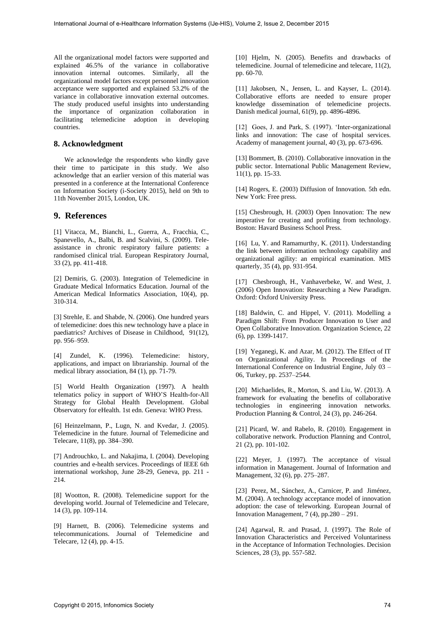All the organizational model factors were supported and explained 46.5% of the variance in collaborative innovation internal outcomes. Similarly, all the organizational model factors except personnel innovation acceptance were supported and explained 53.2% of the variance in collaborative innovation external outcomes. The study produced useful insights into understanding the importance of organization collaboration in facilitating telemedicine adoption in developing countries.

#### **8. Acknowledgment**

We acknowledge the respondents who kindly gave their time to participate in this study. We also acknowledge that an earlier version of this material was presented in a conference at the International Conference on Information Society (i-Society 2015), held on 9th to 11th November 2015, London, UK.

### **9. References**

[1] Vitacca, M., Bianchi, L., Guerra, A., Fracchia, C., Spanevello, A., Balbi, B. and Scalvini, S. (2009). Teleassistance in chronic respiratory failure patients: a randomised clinical trial. European Respiratory Journal, 33 (2), pp. 411-418.

[2] Demiris, G. (2003). Integration of Telemedicine in Graduate Medical Informatics Education. Journal of the American Medical Informatics Association, 10(4), pp. 310-314.

[3] Strehle, E. and Shabde, N. (2006). One hundred years of telemedicine: does this new technology have a place in paediatrics? Archives of Disease in Childhood, 91(12), pp. 956–959.

[4] Zundel, K. (1996). Telemedicine: history, applications, and impact on librarianship. Journal of the medical library association, 84 (1), pp. 71-79.

[5] World Health Organization (1997). A health telematics policy in support of WHO'S Health-for-All Strategy for Global Health Development. Global Observatory for eHealth. 1st edn. Geneva: WHO Press.

[6] Heinzelmann, P., Lugn, N. and Kvedar, J. (2005). Telemedicine in the future. Journal of Telemedicine and Telecare, 11(8), pp. 384–390.

[7] Androuchko, L. and Nakajima, I. (2004). Developing countries and e-health services. Proceedings of IEEE 6th international workshop, June 28-29, Geneva, pp. 211 - 214.

[8] Wootton, R. (2008). Telemedicine support for the developing world. Journal of Telemedicine and Telecare, 14 (3), pp. 109-114.

[9] Harnett, B. (2006). Telemedicine systems and telecommunications. Journal of Telemedicine and Telecare, 12 (4), pp. 4-15.

[10] Hjelm, N. (2005). Benefits and drawbacks of telemedicine. Journal of telemedicine and telecare, 11(2), pp. 60-70.

[11] Jakobsen, N., Jensen, L. and Kayser, L. (2014). Collaborative efforts are needed to ensure proper knowledge dissemination of telemedicine projects. Danish medical journal, 61(9), pp. 4896-4896.

[12] Goes, J. and Park, S. (1997). 'Inter-organizational links and innovation: The case of hospital services. Academy of management journal, 40 (3), pp. 673-696.

[13] Bommert, B. (2010). Collaborative innovation in the public sector. International Public Management Review, 11(1), pp. 15-33.

[14] Rogers, E. (2003) Diffusion of Innovation. 5th edn. New York: Free press.

[15] Chesbrough, H. (2003) Open Innovation: The new imperative for creating and profiting from technology. Boston: Havard Business School Press.

[16] Lu, Y. and Ramamurthy, K. (2011). Understanding the link between information technology capability and organizational agility: an empirical examination. MIS quarterly, 35 (4), pp. 931-954.

[17] Chesbrough, H., Vanhaverbeke, W. and West, J. (2006) Open Innovation: Researching a New Paradigm. Oxford: Oxford University Press.

[18] Baldwin, C. and Hippel, V. (2011). Modelling a Paradigm Shift: From Producer Innovation to User and Open Collaborative Innovation. Organization Science, 22 (6), pp. 1399-1417.

[19] Yeganegi, K. and Azar, M. (2012). The Effect of IT on Organizational Agility. In Proceedings of the International Conference on Industrial Engine, July 03 – 06, Turkey, pp. 2537–2544.

[20] Michaelides, R., Morton, S. and Liu, W. (2013). A framework for evaluating the benefits of collaborative technologies in engineering innovation networks. Production Planning & Control, 24 (3), pp. 246-264.

[21] Picard, W. and Rabelo, R. (2010). Engagement in collaborative network. Production Planning and Control, 21 (2), pp. 101-102.

[22] Meyer, J. (1997). The acceptance of visual information in Management. Journal of Information and Management, 32 (6), pp. 275–287.

[23] Perez, M., Sánchez, A., Carnicer, P. and Jiménez, M. (2004). A technology acceptance model of innovation adoption: the case of teleworking. European Journal of Innovation Management, 7 (4), pp.280 – 291.

[24] Agarwal, R. and Prasad, J. (1997). The Role of Innovation Characteristics and Perceived Voluntariness in the Acceptance of Information Technologies. Decision Sciences, 28 (3), pp. 557-582.